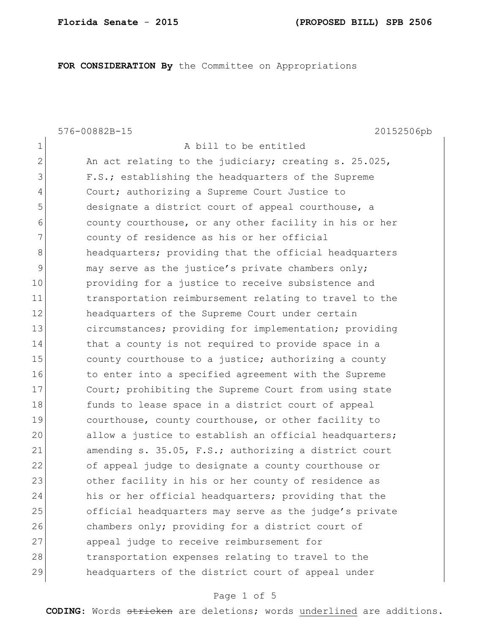**FOR CONSIDERATION By** the Committee on Appropriations

576-00882B-15 20152506pb 1 a bill to be entitled 2 An act relating to the judiciary; creating s. 25.025, 3 F.S.; establishing the headquarters of the Supreme 4 Court; authorizing a Supreme Court Justice to 5 designate a district court of appeal courthouse, a 6 county courthouse, or any other facility in his or her 7 7 county of residence as his or her official 8 **headquarters;** providing that the official headquarters 9 may serve as the justice's private chambers only; 10 **providing for a justice to receive subsistence and** 11 transportation reimbursement relating to travel to the 12 **headquarters of the Supreme Court under certain** 13 circumstances; providing for implementation; providing 14 that a county is not required to provide space in a 15 15 county courthouse to a justice; authorizing a county 16 to enter into a specified agreement with the Supreme 17 Court; prohibiting the Supreme Court from using state 18 funds to lease space in a district court of appeal 19 courthouse, county courthouse, or other facility to 20 allow a justice to establish an official headquarters; 21 amending s. 35.05, F.S.; authorizing a district court 22 of appeal judge to designate a county courthouse or 23 other facility in his or her county of residence as 24 his or her official headquarters; providing that the 25 official headquarters may serve as the judge's private 26 chambers only; providing for a district court of 27 appeal judge to receive reimbursement for 28 transportation expenses relating to travel to the 29 headquarters of the district court of appeal under

## Page 1 of 5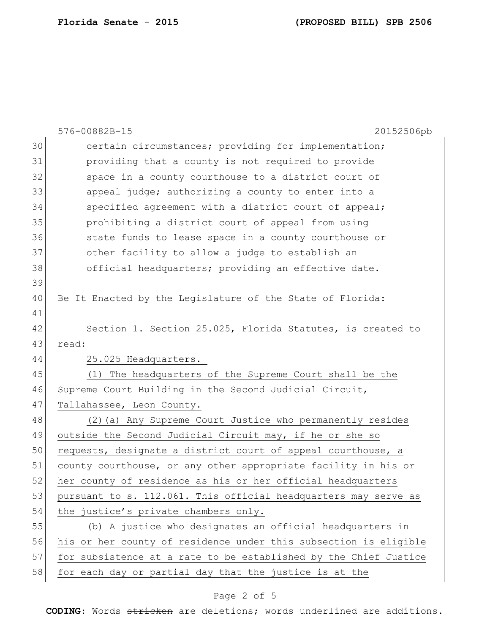|    | 576-00882B-15<br>20152506pb                                      |
|----|------------------------------------------------------------------|
| 30 | certain circumstances; providing for implementation;             |
| 31 | providing that a county is not required to provide               |
| 32 | space in a county courthouse to a district court of              |
| 33 | appeal judge; authorizing a county to enter into a               |
| 34 | specified agreement with a district court of appeal;             |
| 35 | prohibiting a district court of appeal from using                |
| 36 | state funds to lease space in a county courthouse or             |
| 37 | other facility to allow a judge to establish an                  |
| 38 | official headquarters; providing an effective date.              |
| 39 |                                                                  |
| 40 | Be It Enacted by the Legislature of the State of Florida:        |
| 41 |                                                                  |
| 42 | Section 1. Section 25.025, Florida Statutes, is created to       |
| 43 | read:                                                            |
| 44 | 25.025 Headquarters.-                                            |
| 45 | (1) The headquarters of the Supreme Court shall be the           |
| 46 | Supreme Court Building in the Second Judicial Circuit,           |
| 47 | Tallahassee, Leon County.                                        |
| 48 | (2) (a) Any Supreme Court Justice who permanently resides        |
| 49 | outside the Second Judicial Circuit may, if he or she so         |
| 50 | requests, designate a district court of appeal courthouse, a     |
| 51 | county courthouse, or any other appropriate facility in his or   |
| 52 | her county of residence as his or her official headquarters      |
| 53 | pursuant to s. 112.061. This official headquarters may serve as  |
| 54 | the justice's private chambers only.                             |
| 55 | (b) A justice who designates an official headquarters in         |
| 56 | his or her county of residence under this subsection is eligible |
| 57 | for subsistence at a rate to be established by the Chief Justice |
| 58 | for each day or partial day that the justice is at the           |

## Page 2 of 5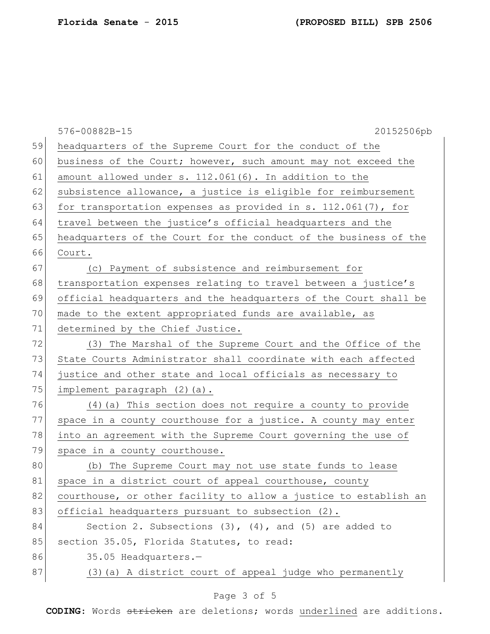|    | 576-00882B-15<br>20152506pb                                      |
|----|------------------------------------------------------------------|
| 59 | headquarters of the Supreme Court for the conduct of the         |
| 60 | business of the Court; however, such amount may not exceed the   |
| 61 | amount allowed under s. 112.061(6). In addition to the           |
| 62 | subsistence allowance, a justice is eligible for reimbursement   |
| 63 | for transportation expenses as provided in s. $112.061(7)$ , for |
| 64 | travel between the justice's official headquarters and the       |
| 65 | headquarters of the Court for the conduct of the business of the |
| 66 | Court.                                                           |
| 67 | (c) Payment of subsistence and reimbursement for                 |
| 68 | transportation expenses relating to travel between a justice's   |
| 69 | official headquarters and the headquarters of the Court shall be |
| 70 | made to the extent appropriated funds are available, as          |
| 71 | determined by the Chief Justice.                                 |
| 72 | (3) The Marshal of the Supreme Court and the Office of the       |
| 73 | State Courts Administrator shall coordinate with each affected   |
| 74 | justice and other state and local officials as necessary to      |
| 75 | implement paragraph (2)(a).                                      |
| 76 | (4) (a) This section does not require a county to provide        |
| 77 | space in a county courthouse for a justice. A county may enter   |
| 78 | into an agreement with the Supreme Court governing the use of    |
| 79 | space in a county courthouse.                                    |
| 80 | The Supreme Court may not use state funds to lease<br>(b)        |
| 81 | space in a district court of appeal courthouse, county           |
| 82 | courthouse, or other facility to allow a justice to establish an |
| 83 | official headquarters pursuant to subsection (2).                |
| 84 | Section 2. Subsections $(3)$ , $(4)$ , and $(5)$ are added to    |
| 85 | section 35.05, Florida Statutes, to read:                        |
| 86 | 35.05 Headquarters.-                                             |
| 87 | (3) (a) A district court of appeal judge who permanently         |

## Page 3 of 5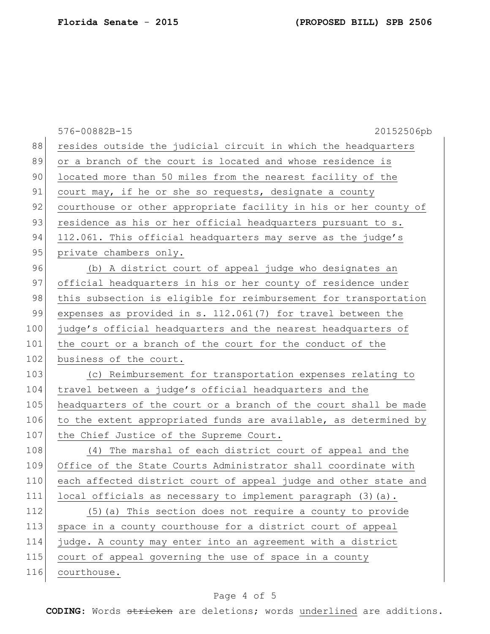|     | 20152506pb<br>576-00882B-15                                      |
|-----|------------------------------------------------------------------|
| 88  | resides outside the judicial circuit in which the headquarters   |
| 89  | or a branch of the court is located and whose residence is       |
| 90  | located more than 50 miles from the nearest facility of the      |
| 91  | court may, if he or she so requests, designate a county          |
| 92  | courthouse or other appropriate facility in his or her county of |
| 93  | residence as his or her official headquarters pursuant to s.     |
| 94  | 112.061. This official headquarters may serve as the judge's     |
| 95  | private chambers only.                                           |
| 96  | (b) A district court of appeal judge who designates an           |
| 97  | official headquarters in his or her county of residence under    |
| 98  | this subsection is eligible for reimbursement for transportation |
| 99  | expenses as provided in s. 112.061(7) for travel between the     |
| 100 | judge's official headquarters and the nearest headquarters of    |
| 101 | the court or a branch of the court for the conduct of the        |
| 102 | business of the court.                                           |
| 103 | (c) Reimbursement for transportation expenses relating to        |
| 104 | travel between a judge's official headquarters and the           |
| 105 | headquarters of the court or a branch of the court shall be made |
| 106 | to the extent appropriated funds are available, as determined by |
| 107 | the Chief Justice of the Supreme Court.                          |
| 108 | (4) The marshal of each district court of appeal and the         |
| 109 | Office of the State Courts Administrator shall coordinate with   |
| 110 | each affected district court of appeal judge and other state and |
| 111 | local officials as necessary to implement paragraph (3)(a).      |
| 112 | (5) (a) This section does not require a county to provide        |
| 113 | space in a county courthouse for a district court of appeal      |
| 114 | judge. A county may enter into an agreement with a district      |
| 115 | court of appeal governing the use of space in a county           |
| 116 | courthouse.                                                      |

## Page 4 of 5